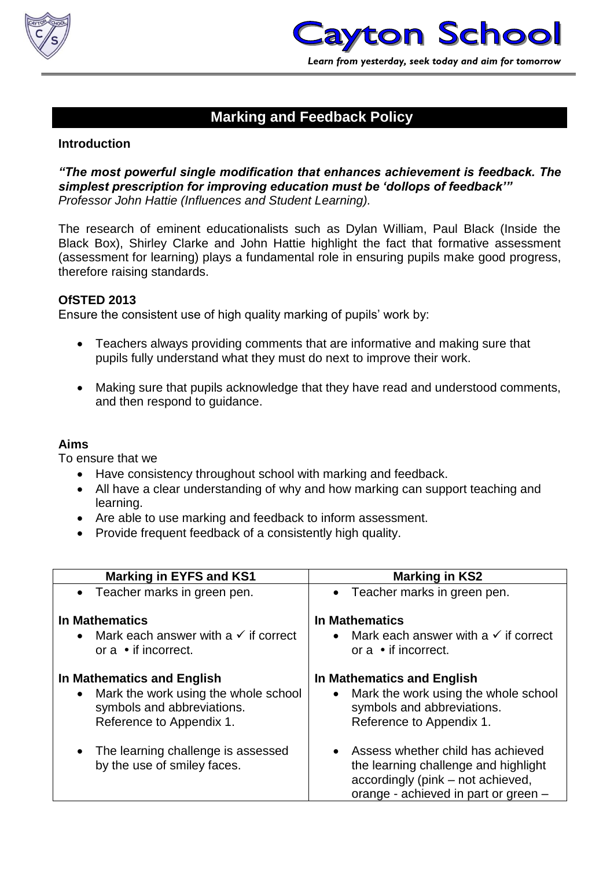



#### **Marking and Feedback Policy**

#### **Introduction**

#### *"The most powerful single modification that enhances achievement is feedback. The simplest prescription for improving education must be 'dollops of feedback'" Professor John Hattie (Influences and Student Learning).*

The research of eminent educationalists such as Dylan William, Paul Black (Inside the Black Box), Shirley Clarke and John Hattie highlight the fact that formative assessment (assessment for learning) plays a fundamental role in ensuring pupils make good progress, therefore raising standards.

#### **OfSTED 2013**

Ensure the consistent use of high quality marking of pupils' work by:

- Teachers always providing comments that are informative and making sure that pupils fully understand what they must do next to improve their work.
- Making sure that pupils acknowledge that they have read and understood comments, and then respond to guidance.

#### **Aims**

To ensure that we

- Have consistency throughout school with marking and feedback.
- All have a clear understanding of why and how marking can support teaching and learning.
- Are able to use marking and feedback to inform assessment.
- Provide frequent feedback of a consistently high quality.

| <b>Marking in EYFS and KS1</b>                                                                 | <b>Marking in KS2</b>                                                                                                                                    |  |  |
|------------------------------------------------------------------------------------------------|----------------------------------------------------------------------------------------------------------------------------------------------------------|--|--|
| • Teacher marks in green pen.                                                                  | • Teacher marks in green pen.                                                                                                                            |  |  |
| <b>In Mathematics</b>                                                                          | <b>In Mathematics</b>                                                                                                                                    |  |  |
| Mark each answer with a $\checkmark$ if correct<br>or $a \cdot$ if incorrect.                  | • Mark each answer with a $\checkmark$ if correct<br>or $a \cdot$ if incorrect.                                                                          |  |  |
| In Mathematics and English                                                                     | In Mathematics and English                                                                                                                               |  |  |
| Mark the work using the whole school<br>symbols and abbreviations.<br>Reference to Appendix 1. | Mark the work using the whole school<br>symbols and abbreviations.<br>Reference to Appendix 1.                                                           |  |  |
| The learning challenge is assessed<br>by the use of smiley faces.                              | • Assess whether child has achieved<br>the learning challenge and highlight<br>accordingly (pink – not achieved,<br>orange - achieved in part or green - |  |  |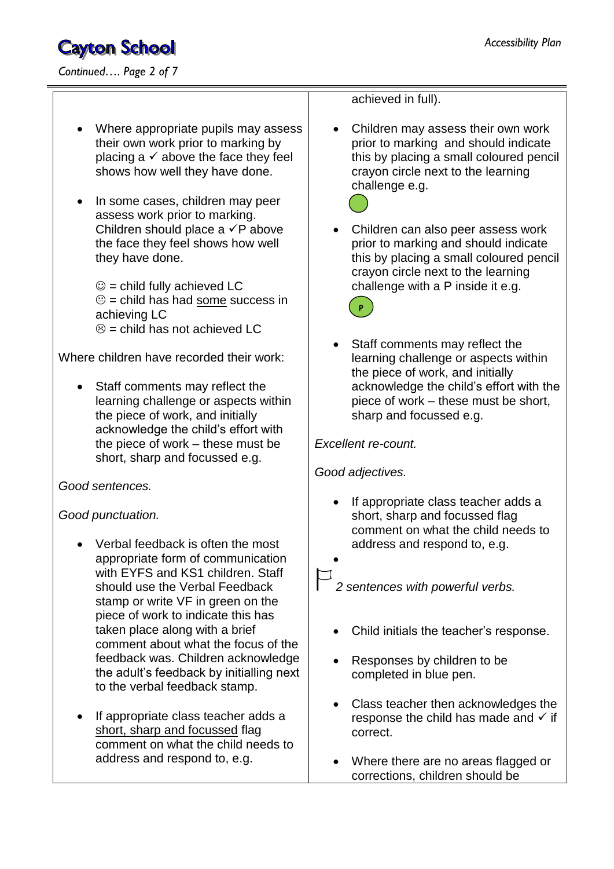- Where appropriate pupils may assess their own work prior to marking by placing a  $\checkmark$  above the face they feel shows how well they have done.
- In some cases, children may peer assess work prior to marking. Children should place a  $\checkmark$ P above the face they feel shows how well they have done.

 $\odot$  = child fully achieved LC  $\odot$  = child has had some success in achieving LC  $\odot$  = child has not achieved LC

Where children have recorded their work:

• Staff comments may reflect the learning challenge or aspects within the piece of work, and initially acknowledge the child's effort with the piece of work – these must be short, sharp and focussed e.g.

*Good sentences.*

*Good punctuation.*

- Verbal feedback is often the most appropriate form of communication with EYFS and KS1 children. Staff should use the Verbal Feedback stamp or write VF in green on the piece of work to indicate this has taken place along with a brief comment about what the focus of the feedback was. Children acknowledge the adult's feedback by initialling next to the verbal feedback stamp.
- If appropriate class teacher adds a short, sharp and focussed flag comment on what the child needs to address and respond to, e.g.

achieved in full).

 Children may assess their own work prior to marking and should indicate this by placing a small coloured pencil crayon circle next to the learning challenge e.g.



 Children can also peer assess work prior to marking and should indicate this by placing a small coloured pencil crayon circle next to the learning challenge with a P inside it e.g.



 Staff comments may reflect the learning challenge or aspects within the piece of work, and initially acknowledge the child's effort with the piece of work – these must be short, sharp and focussed e.g.

*Excellent re-count.*

*Good adjectives.*

- If appropriate class teacher adds a short, sharp and focussed flag comment on what the child needs to address and respond to, e.g.
- 

 $\bullet$ 

*2 sentences with powerful verbs.*

- Child initials the teacher's response.
- Responses by children to be completed in blue pen.
- Class teacher then acknowledges the response the child has made and  $\checkmark$  if correct.
- Where there are no areas flagged or corrections, children should be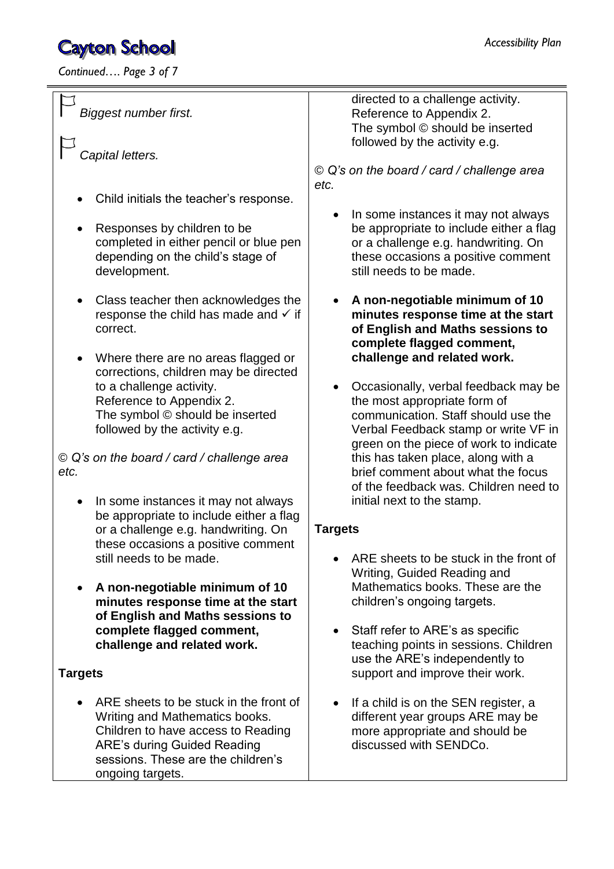*Continued…. Page 3 of 7*

| <b>Biggest number first.</b><br>Capital letters.<br>Child initials the teacher's response.<br>Responses by children to be<br>completed in either pencil or blue pen<br>depending on the child's stage of<br>development.<br>Class teacher then acknowledges the<br>response the child has made and $\checkmark$ if<br>correct.<br>Where there are no areas flagged or<br>$\bullet$<br>corrections, children may be directed<br>to a challenge activity.<br>Reference to Appendix 2. | directed to a challenge activity.<br>Reference to Appendix 2.<br>The symbol © should be inserted<br>followed by the activity e.g.<br>© Q's on the board / card / challenge area<br>etc.<br>In some instances it may not always<br>be appropriate to include either a flag<br>or a challenge e.g. handwriting. On<br>these occasions a positive comment<br>still needs to be made.<br>A non-negotiable minimum of 10<br>$\bullet$<br>minutes response time at the start<br>of English and Maths sessions to<br>complete flagged comment,<br>challenge and related work.<br>Occasionally, verbal feedback may be<br>$\bullet$<br>the most appropriate form of |
|-------------------------------------------------------------------------------------------------------------------------------------------------------------------------------------------------------------------------------------------------------------------------------------------------------------------------------------------------------------------------------------------------------------------------------------------------------------------------------------|-------------------------------------------------------------------------------------------------------------------------------------------------------------------------------------------------------------------------------------------------------------------------------------------------------------------------------------------------------------------------------------------------------------------------------------------------------------------------------------------------------------------------------------------------------------------------------------------------------------------------------------------------------------|
| The symbol © should be inserted<br>followed by the activity e.g.<br>© Q's on the board / card / challenge area<br>etc.<br>In some instances it may not always<br>be appropriate to include either a flag<br>or a challenge e.g. handwriting. On<br>these occasions a positive comment<br>still needs to be made.                                                                                                                                                                    | communication. Staff should use the<br>Verbal Feedback stamp or write VF in<br>green on the piece of work to indicate<br>this has taken place, along with a<br>brief comment about what the focus<br>of the feedback was. Children need to<br>initial next to the stamp.<br><b>Targets</b><br>ARE sheets to be stuck in the front of<br>Writing, Guided Reading and                                                                                                                                                                                                                                                                                         |
| A non-negotiable minimum of 10<br>minutes response time at the start<br>of English and Maths sessions to<br>complete flagged comment,<br>challenge and related work.<br><b>Targets</b><br>ARE sheets to be stuck in the front of<br>Writing and Mathematics books.                                                                                                                                                                                                                  | Mathematics books. These are the<br>children's ongoing targets.<br>Staff refer to ARE's as specific<br>$\bullet$<br>teaching points in sessions. Children<br>use the ARE's independently to<br>support and improve their work.<br>If a child is on the SEN register, a<br>$\bullet$<br>different year groups ARE may be                                                                                                                                                                                                                                                                                                                                     |
| Children to have access to Reading<br><b>ARE's during Guided Reading</b><br>sessions. These are the children's<br>ongoing targets.                                                                                                                                                                                                                                                                                                                                                  | more appropriate and should be<br>discussed with SENDCo.                                                                                                                                                                                                                                                                                                                                                                                                                                                                                                                                                                                                    |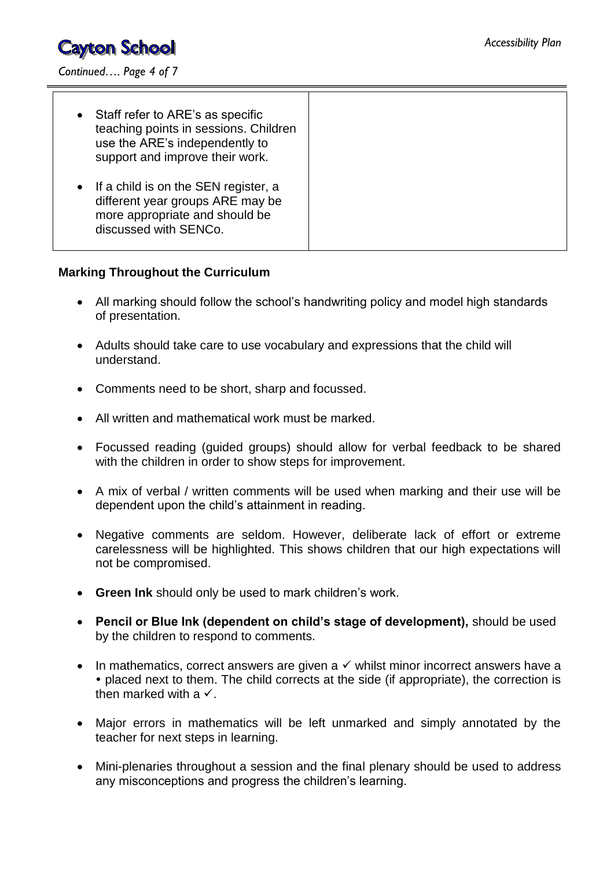

*Continued…. Page 4 of 7*

| • Staff refer to ARE's as specific<br>teaching points in sessions. Children<br>use the ARE's independently to<br>support and improve their work. |
|--------------------------------------------------------------------------------------------------------------------------------------------------|
| • If a child is on the SEN register, a<br>different year groups ARE may be<br>more appropriate and should be<br>discussed with SENCo.            |

#### **Marking Throughout the Curriculum**

- All marking should follow the school's handwriting policy and model high standards of presentation.
- Adults should take care to use vocabulary and expressions that the child will understand.
- Comments need to be short, sharp and focussed.
- All written and mathematical work must be marked.
- Focussed reading (guided groups) should allow for verbal feedback to be shared with the children in order to show steps for improvement.
- A mix of verbal / written comments will be used when marking and their use will be dependent upon the child's attainment in reading.
- Negative comments are seldom. However, deliberate lack of effort or extreme carelessness will be highlighted. This shows children that our high expectations will not be compromised.
- **Green Ink** should only be used to mark children's work.
- **Pencil or Blue Ink (dependent on child's stage of development),** should be used by the children to respond to comments.
- In mathematics, correct answers are given a  $\checkmark$  whilst minor incorrect answers have a • placed next to them. The child corrects at the side (if appropriate), the correction is then marked with a  $\checkmark$ .
- Major errors in mathematics will be left unmarked and simply annotated by the teacher for next steps in learning.
- Mini-plenaries throughout a session and the final plenary should be used to address any misconceptions and progress the children's learning.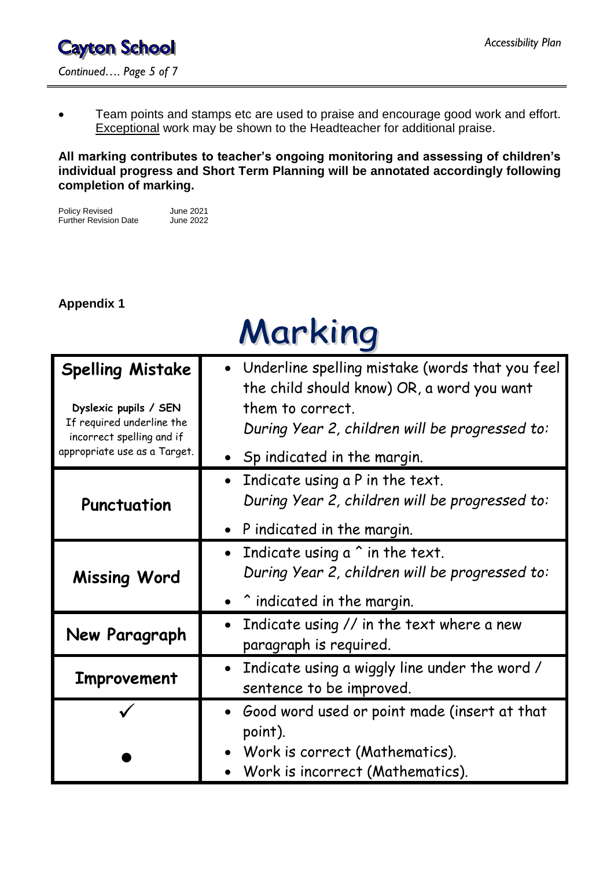Team points and stamps etc are used to praise and encourage good work and effort. Exceptional work may be shown to the Headteacher for additional praise.

**All marking contributes to teacher's ongoing monitoring and assessing of children's individual progress and Short Term Planning will be annotated accordingly following completion of marking.**

Policy Revised June 2021<br>Further Revision Date June 2022 Further Revision Date

#### **Appendix 1**

| <b>Marking</b>                                                                                             |                                                                                                                                                                     |  |  |  |
|------------------------------------------------------------------------------------------------------------|---------------------------------------------------------------------------------------------------------------------------------------------------------------------|--|--|--|
| <b>Spelling Mistake</b><br>Dyslexic pupils / SEN<br>If required underline the<br>incorrect spelling and if | Underline spelling mistake (words that you feel<br>the child should know) OR, a word you want<br>them to correct.<br>During Year 2, children will be progressed to: |  |  |  |
| appropriate use as a Target.                                                                               | $\bullet$ Sp indicated in the margin.                                                                                                                               |  |  |  |
| Punctuation                                                                                                | Indicate using a P in the text.<br>$\bullet$<br>During Year 2, children will be progressed to:                                                                      |  |  |  |
|                                                                                                            | P indicated in the margin.                                                                                                                                          |  |  |  |
| <b>Missing Word</b>                                                                                        | Indicate using $a \hat{ }$ in the text.<br>$\bullet$<br>During Year 2, children will be progressed to:                                                              |  |  |  |
|                                                                                                            | ^ indicated in the margin.                                                                                                                                          |  |  |  |
| New Paragraph                                                                                              | Indicate using // in the text where a new<br>paragraph is required.                                                                                                 |  |  |  |
| <b>Improvement</b>                                                                                         | • Indicate using a wiggly line under the word /<br>sentence to be improved.                                                                                         |  |  |  |
|                                                                                                            | Good word used or point made (insert at that<br>point).<br>• Work is correct (Mathematics).<br>Work is incorrect (Mathematics).                                     |  |  |  |

# $\Lambda \Lambda$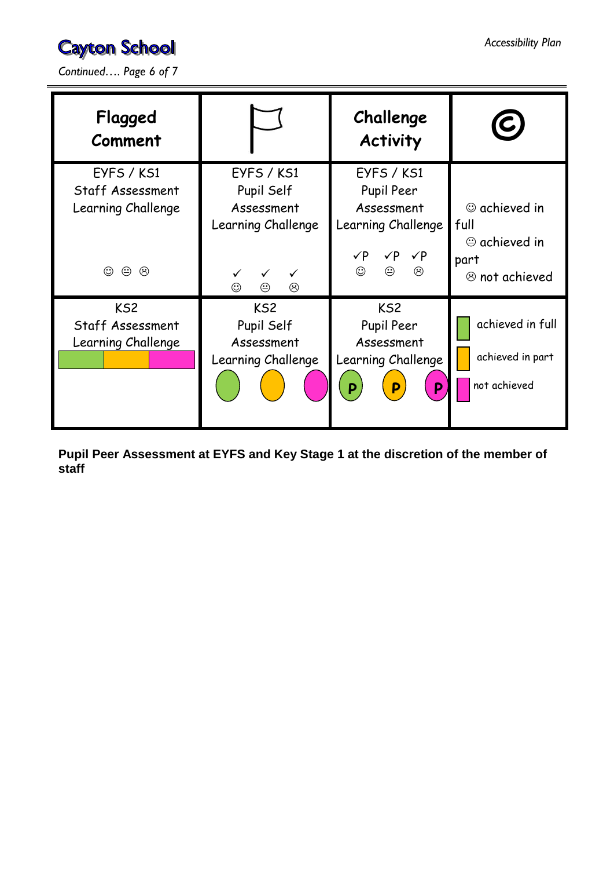*Continued…. Page 6 of 7*

| Flagged<br>Comment                                        |                                                                   | Challenge<br><b>Activity</b>                                                                     |                                                                    |
|-----------------------------------------------------------|-------------------------------------------------------------------|--------------------------------------------------------------------------------------------------|--------------------------------------------------------------------|
| EYFS / KS1<br>Staff Assessment<br>Learning Challenge      | EYFS / KS1<br>Pupil Self<br>Assessment<br>Learning Challenge      | EYFS / KS1<br>Pupil Peer<br>Assessment<br>Learning Challenge<br>$\sqrt{P}$ $\sqrt{P}$ $\sqrt{P}$ | $\circledcirc$ achieved in<br>full<br>$\oplus$ achieved in<br>part |
| $\odot$<br>☺<br>$\odot$                                   | $\checkmark$<br>$\odot$<br>☺<br>☺                                 | $\odot$<br>$\odot$<br>☺                                                                          | $\circledcirc$ not achieved                                        |
| KS <sub>2</sub><br>Staff Assessment<br>Learning Challenge | KS <sub>2</sub><br>Pupil Self<br>Assessment<br>Learning Challenge | KS <sub>2</sub><br>Pupil Peer<br>Assessment<br>Learning Challenge<br>P<br>P<br>$\mathsf{P}$      | achieved in full<br>achieved in part<br>not achieved               |

**Pupil Peer Assessment at EYFS and Key Stage 1 at the discretion of the member of staff**